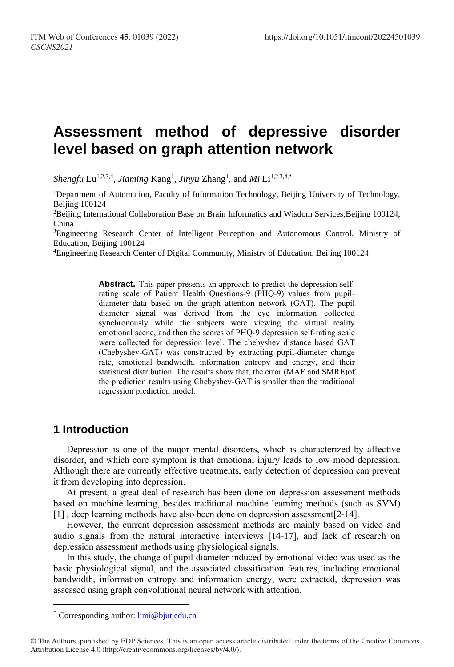# **Assessment method of depressive disorder level based on graph attention network**

Shengfu Lu<sup>1,2,3,4</sup>, *Jiaming* Kang<sup>1</sup>, *Jinyu Zhang<sup>1</sup>*, and *Mi* Li<sup>1,2,3,4,\*</sup>

<sup>1</sup>Department of Automation, Faculty of Information Technology, Beijing University of Technology, Beijing 100124

<sup>2</sup>Beijing International Collaboration Base on Brain Informatics and Wisdom Services,Beijing 100124, China

<sup>3</sup>Engineering Research Center of Intelligent Perception and Autonomous Control, Ministry of Education, Beijing 100124

<sup>4</sup>Engineering Research Center of Digital Community, Ministry of Education, Beijing 100124

**Abstract.** This paper presents an approach to predict the depression selfrating scale of Patient Health Questions-9 (PHQ-9) values from pupildiameter data based on the graph attention network (GAT). The pupil diameter signal was derived from the eye information collected synchronously while the subjects were viewing the virtual reality emotional scene, and then the scores of PHQ-9 depression self-rating scale were collected for depression level. The chebyshev distance based GAT (Chebyshev-GAT) was constructed by extracting pupil-diameter change rate, emotional bandwidth, information entropy and energy, and their statistical distribution. The results show that, the error (MAE and SMRE)of the prediction results using Chebyshev-GAT is smaller then the traditional regression prediction model.

### **1 Introduction**

 $\overline{a}$ 

Depression is one of the major mental disorders, which is characterized by affective disorder, and which core symptom is that emotional injury leads to low mood depression. Although there are currently effective treatments, early detection of depression can prevent it from developing into depression.

At present, a great deal of research has been done on depression assessment methods based on machine learning, besides traditional machine learning methods (such as SVM) [1] , deep learning methods have also been done on depression assessment[2-14].

However, the current depression assessment methods are mainly based on video and audio signals from the natural interactive interviews [14-17], and lack of research on depression assessment methods using physiological signals.

In this study, the change of pupil diameter induced by emotional video was used as the basic physiological signal, and the associated classification features, including emotional bandwidth, information entropy and information energy, were extracted, depression was assessed using graph convolutional neural network with attention.

<sup>\*</sup> Corresponding author: [limi@bjut.edu.cn](mailto:limi@bjut.edu.cn)

<sup>©</sup> The Authors, published by EDP Sciences. This is an open access article distributed under the terms of the Creative Commons Attribution License 4.0 (http://creativecommons.org/licenses/by/4.0/).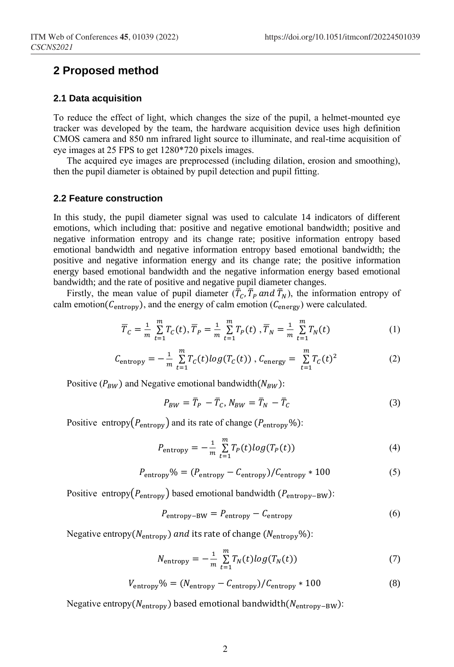### **2 Proposed method**

#### **2.1 Data acquisition**

To reduce the effect of light, which changes the size of the pupil, a helmet-mounted eye tracker was developed by the team, the hardware acquisition device uses high definition CMOS camera and 850 nm infrared light source to illuminate, and real-time acquisition of eye images at 25 FPS to get 1280\*720 pixels images.

The acquired eye images are preprocessed (including dilation, erosion and smoothing), then the pupil diameter is obtained by pupil detection and pupil fitting.

#### **2.2 Feature construction**

In this study, the pupil diameter signal was used to calculate 14 indicators of different emotions, which including that: positive and negative emotional bandwidth; positive and negative information entropy and its change rate; positive information entropy based emotional bandwidth and negative information entropy based emotional bandwidth; the positive and negative information energy and its change rate; the positive information energy based emotional bandwidth and the negative information energy based emotional bandwidth; and the rate of positive and negative pupil diameter changes.

Firstly, the mean value of pupil diameter  $(\bar{T}_C, \bar{T}_P \text{ and } \bar{T}_N)$ , the information entropy of calm emotion( $C_{entropy}$ ), and the energy of calm emotion ( $C_{energy}$ ) were calculated.

$$
\overline{T}_C = \frac{1}{m} \sum_{t=1}^m T_C(t), \overline{T}_P = \frac{1}{m} \sum_{t=1}^m T_P(t), \overline{T}_N = \frac{1}{m} \sum_{t=1}^m T_N(t)
$$
(1)

$$
C_{\text{entropy}} = -\frac{1}{m} \sum_{t=1}^{m} T_c(t) \log(T_c(t)) , C_{\text{energy}} = \sum_{t=1}^{m} T_c(t)^2
$$
 (2)

Positive ( $P_{BW}$ ) and Negative emotional bandwidth( $N_{BW}$ ):

$$
P_{BW} = \overline{T}_P - \overline{T}_C, N_{BW} = \overline{T}_N - \overline{T}_C \tag{3}
$$

Positive entropy( $P_{entropy}$ ) and its rate of change ( $P_{entropy}$ %):

$$
P_{\text{entropy}} = -\frac{1}{m} \sum_{t=1}^{m} T_P(t) \log(T_P(t)) \tag{4}
$$

$$
P_{\text{entropy}}\% = (P_{\text{entropy}} - C_{\text{entropy}})/C_{\text{entropy}} * 100
$$
 (5)

Positive entropy( $P_{\text{entropy}}$ ) based emotional bandwidth ( $P_{\text{entropy}-BW}$ ):

$$
P_{\text{entropy}-BW} = P_{\text{entropy}} - C_{\text{entropy}}
$$
 (6)

Negative entropy( $N_{\text{entropy}}$ ) and its rate of change ( $N_{\text{entropy}}$ %):

$$
N_{\text{entropy}} = -\frac{1}{m} \sum_{t=1}^{m} T_N(t) \log(T_N(t)) \tag{7}
$$

$$
V_{\text{entropy}}\% = (N_{\text{entropy}} - C_{\text{entropy}})/C_{\text{entropy}} * 100
$$
 (8)

Negative entropy( $N_{\text{entropy}}$ ) based emotional bandwidth( $N_{\text{entropy}-BW}$ ):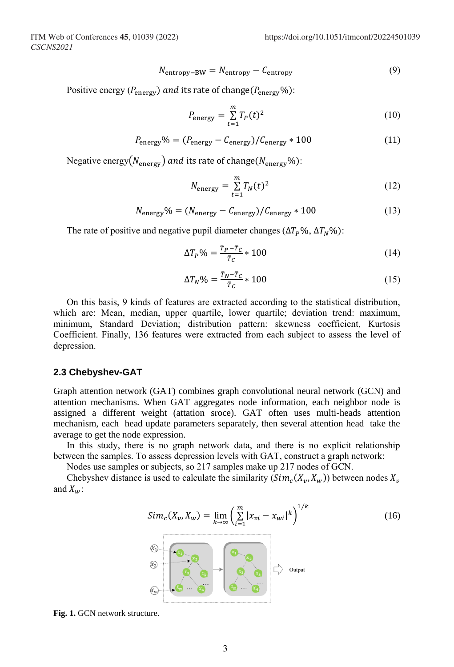$$
N_{\text{entropy}-BW} = N_{\text{entropy}} - C_{\text{entropy}}
$$
 (9)

Positive energy ( $P_{\text{energy}}$ ) and its rate of change( $P_{\text{energy}}$ %):

$$
P_{\text{energy}} = \sum_{t=1}^{m} T_p(t)^2 \tag{10}
$$

$$
P_{\text{energy}}\% = (P_{\text{energy}} - C_{\text{energy}}) / C_{\text{energy}} * 100 \tag{11}
$$

Negative energy( $N_{\text{energy}}$ ) and its rate of change( $N_{\text{energy}}$ %):

$$
N_{\text{energy}} = \sum_{t=1}^{m} T_N(t)^2 \tag{12}
$$

$$
N_{\text{energy}}\% = (N_{\text{energy}} - C_{\text{energy}})/C_{\text{energy}} * 100 \tag{13}
$$

The rate of positive and negative pupil diameter changes ( $\Delta T_p$ %,  $\Delta T_w$ %):

$$
\Delta T_P \% = \frac{\bar{\tau}_P - \bar{\tau}_C}{\bar{\tau}_C} \times 100 \tag{14}
$$

$$
\Delta T_N \% = \frac{T_N - T_C}{\bar{T}_C} \times 100 \tag{15}
$$

On this basis, 9 kinds of features are extracted according to the statistical distribution, which are: Mean, median, upper quartile, lower quartile; deviation trend: maximum, minimum, Standard Deviation; distribution pattern: skewness coefficient, Kurtosis Coefficient. Finally, 136 features were extracted from each subject to assess the level of depression.

#### **2.3 Chebyshev-GAT**

Graph attention network (GAT) combines graph convolutional neural network (GCN) and attention mechanisms. When GAT aggregates node information, each neighbor node is assigned a different weight (attation sroce). GAT often uses multi-heads attention mechanism, each head update parameters separately, then several attention head take the average to get the node expression.

In this study, there is no graph network data, and there is no explicit relationship between the samples. To assess depression levels with GAT, construct a graph network:

Nodes use samples or subjects, so 217 samples make up 217 nodes of GCN.

Chebyshev distance is used to calculate the similarity  $(Sim_c(X_v, X_w))$  between nodes  $X_v$ and  $X_w$ :

$$
Sim_c(X_v, X_w) = \lim_{k \to \infty} \left( \sum_{i=1}^{m} |x_{vi} - x_{wi}|^k \right)^{1/k}
$$
 (16)



**Fig. 1.** GCN network structure.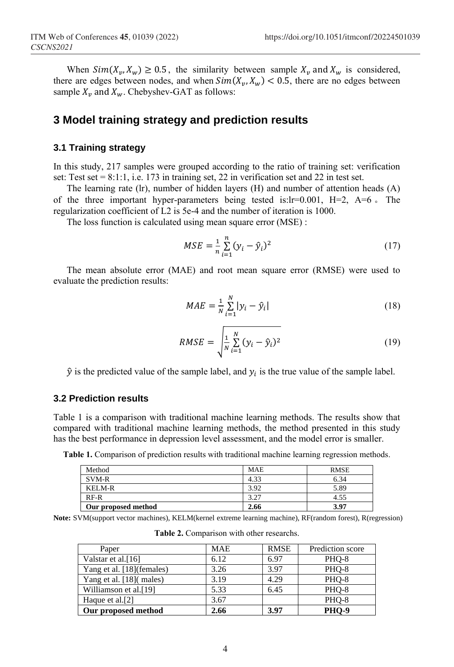When  $Sim(X_v, X_w) \ge 0.5$ , the similarity between sample  $X_v$  and  $X_w$  is considered, there are edges between nodes, and when  $Sim(X_v, X_w) < 0.5$ , there are no edges between sample  $X_v$  and  $X_w$ . Chebyshev-GAT as follows:

### **3 Model training strategy and prediction results**

### **3.1 Training strategy**

In this study, 217 samples were grouped according to the ratio of training set: verification set: Test set  $= 8:1:1$ , i.e. 173 in training set, 22 in verification set and 22 in test set.

The learning rate (lr), number of hidden layers (H) and number of attention heads (A) of the three important hyper-parameters being tested is:lr=0.001, H=2, A=6 。 The regularization coefficient of L2 is 5e-4 and the number of iteration is 1000.

The loss function is calculated using mean square error (MSE) :

$$
MSE = \frac{1}{n} \sum_{i=1}^{n} (y_i - \hat{y}_i)^2
$$
 (17)

The mean absolute error (MAE) and root mean square error (RMSE) were used to evaluate the prediction results:

$$
MAE = \frac{1}{N} \sum_{i=1}^{N} |y_i - \hat{y}_i|
$$
 (18)

$$
RMSE = \sqrt{\frac{1}{N} \sum_{i=1}^{N} (y_i - \hat{y}_i)^2}
$$
 (19)

 $\hat{y}$  is the predicted value of the sample label, and  $y_i$  is the true value of the sample label.

#### **3.2 Prediction results**

Table 1 is a comparison with traditional machine learning methods. The results show that compared with traditional machine learning methods, the method presented in this study has the best performance in depression level assessment, and the model error is smaller.

**Table 1.** Comparison of prediction results with traditional machine learning regression methods.

| Method              | <b>MAE</b> | <b>RMSE</b> |
|---------------------|------------|-------------|
| SVM-R               | 4.33       | 6.34        |
| KELM-R              | 3.92       | 5.89        |
| $RF-R$              | 3.27       | 4.55        |
| Our proposed method | 2.66       | 3.97        |

**Note:** SVM(support vector machines), KELM(kernel extreme learning machine), RF(random forest), R(regression)

| Paper                       | <b>MAE</b> | <b>RMSE</b> | Prediction score |
|-----------------------------|------------|-------------|------------------|
| Valstar et al.[16]          | 6.12       | 6.97        | PHO-8            |
| Yang et al. [18] (females)  | 3.26       | 3.97        | PHO-8            |
| Yang et al. [18](males)     | 3.19       | 4.29        | PHO-8            |
| Williamson et al.[19]       | 5.33       | 6.45        | PHO-8            |
| Haque et al. <sup>[2]</sup> | 3.67       |             | PHO-8            |
| Our proposed method         | 2.66       | 3.97        | <b>PHO-9</b>     |

**Table 2.** Comparison with other researchs.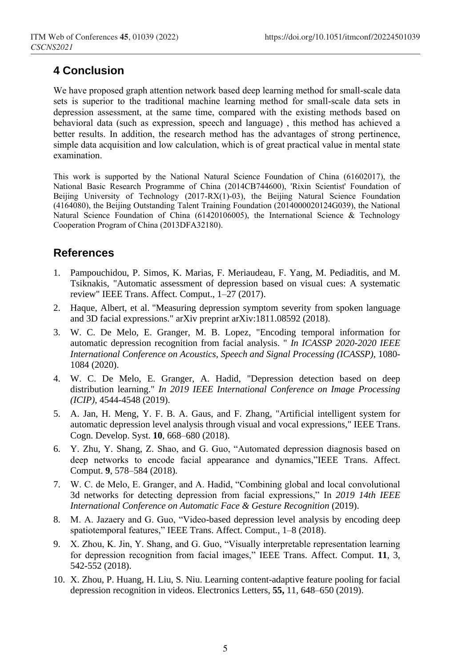## **4 Conclusion**

We have proposed graph attention network based deep learning method for small-scale data sets is superior to the traditional machine learning method for small-scale data sets in depression assessment, at the same time, compared with the existing methods based on behavioral data (such as expression, speech and language) , this method has achieved a better results. In addition, the research method has the advantages of strong pertinence, simple data acquisition and low calculation, which is of great practical value in mental state examination.

This work is supported by the National Natural Science Foundation of China (61602017), the National Basic Research Programme of China (2014CB744600), 'Rixin Scientist' Foundation of Beijing University of Technology (2017-RX(1)-03), the Beijing Natural Science Foundation (4164080), the Beijing Outstanding Talent Training Foundation (2014000020124G039), the National Natural Science Foundation of China (61420106005), the International Science & Technology Cooperation Program of China (2013DFA32180).

### **References**

- 1. Pampouchidou, P. Simos, K. Marias, F. Meriaudeau, F. Yang, M. Pediaditis, and M. Tsiknakis, "Automatic assessment of depression based on visual cues: A systematic review" IEEE Trans. Affect. Comput., 1–27 (2017).
- 2. Haque, Albert, et al. "Measuring depression symptom severity from spoken language and 3D facial expressions." arXiv preprint arXiv:1811.08592 (2018).
- 3. W. C. De Melo, E. Granger, M. B. Lopez, "Encoding temporal information for automatic depression recognition from facial analysis. " *In ICASSP 2020-2020 IEEE International Conference on Acoustics, Speech and Signal Processing (ICASSP)*, 1080- 1084 (2020).
- 4. W. C. De Melo, E. Granger, A. Hadid, "Depression detection based on deep distribution learning." *In 2019 IEEE International Conference on Image Processing (ICIP)*, 4544-4548 (2019).
- 5. A. Jan, H. Meng, Y. F. B. A. Gaus, and F. Zhang, "Artificial intelligent system for automatic depression level analysis through visual and vocal expressions," IEEE Trans. Cogn. Develop. Syst. **10**, 668–680 (2018).
- 6. Y. Zhu, Y. Shang, Z. Shao, and G. Guo, "Automated depression diagnosis based on deep networks to encode facial appearance and dynamics,"IEEE Trans. Affect. Comput. **9**, 578–584 (2018).
- 7. W. C. de Melo, E. Granger, and A. Hadid, "Combining global and local convolutional 3d networks for detecting depression from facial expressions," In *2019 14th IEEE International Conference on Automatic Face & Gesture Recognition (2019).*
- 8. M. A. Jazaery and G. Guo, "Video-based depression level analysis by encoding deep spatiotemporal features," IEEE Trans. Affect. Comput., 1–8 (2018).
- 9. X. Zhou, K. Jin, Y. Shang, and G. Guo, "Visually interpretable representation learning for depression recognition from facial images," IEEE Trans. Affect. Comput. **11**, 3, 542-552 (2018).
- 10. X. Zhou, P. Huang, H. Liu, S. Niu. Learning content-adaptive feature pooling for facial depression recognition in videos. Electronics Letters, **55,** 11, 648–650 (2019).